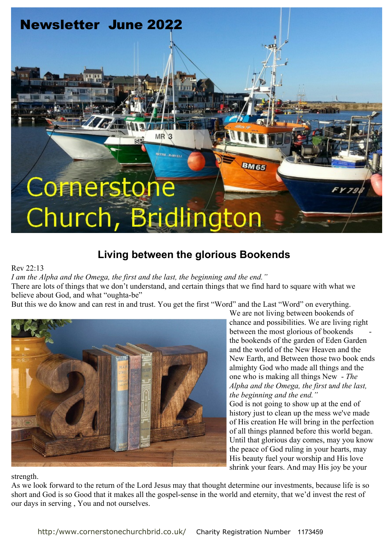# **Newsletter June 2022 MR HATTIE - HARVELL BM65** Cornerston Church, Bri dlingtor

# **Living between the glorious Bookends**

#### Rev 22:13

*I am the Alpha and the Omega, the first and the last, the beginning and the end."*

There are lots of things that we don't understand, and certain things that we find hard to square with what we believe about God, and what "oughta-be"

But this we do know and can rest in and trust. You get the first "Word" and the Last "Word" on everything.



We are not living between bookends of chance and possibilities. We are living right between the most glorious of bookends the bookends of the garden of Eden Garden and the world of the New Heaven and the New Earth, and Between those two book ends almighty God who made all things and the one who is making all things New - *The Alpha and the Omega, the first* a*nd the last, the beginning and the end."*

God is not going to show up at the end of history just to clean up the mess we've made of His creation He will bring in the perfection of all things planned before this world began. Until that glorious day comes, may you know the peace of God ruling in your hearts, may His beauty fuel your worship and His love shrink your fears. And may His joy be your

strength.

As we look forward to the return of the Lord Jesus may that thought determine our investments, because life is so short and God is so Good that it makes all the gospel-sense in the world and eternity, that we'd invest the rest of our days in serving , You and not ourselves.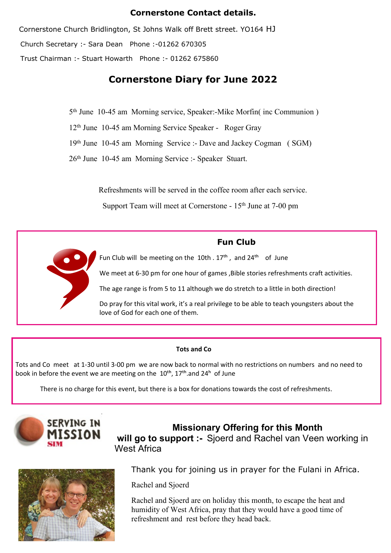#### **Cornerstone Contact details.**

Cornerstone Church Bridlington, St Johns Walk off Brett street. YO164 HJ Church Secretary :- Sara Dean Phone :-01262 670305 Trust Chairman :- Stuart Howarth Phone :- 01262 675860

## **Cornerstone Diary for June 2022**

5th June 10-45 am Morning service, Speaker:-Mike Morfin( inc Communion )

12th June 10-45 am Morning Service Speaker - Roger Gray

19th June 10-45 am Morning Service :- Dave and Jackey Cogman ( SGM)

26th June 10-45 am Morning Service :- Speaker Stuart.

Refreshments will be served in the coffee room after each service.

Support Team will meet at Cornerstone - 15<sup>th</sup> June at 7-00 pm



#### **Tots and Co**

Tots and Co meet at 1-30 until 3-00 pm we are now back to normal with no restrictions on numbers and no need to book in before the event we are meeting on the  $10^{th}$ ,  $17^{th}$  and  $24^{th}$  of June

There is no charge for this event, but there is a box for donations towards the cost of refreshments.



**Missionary Offering for this Month will go to support :-** Sjoerd and Rachel van Veen working in West Africa



Thank you for joining us in prayer for the Fulani in Africa.

Rachel and Sjoerd

Rachel and Sjoerd are on holiday this month, to escape the heat and humidity of West Africa, pray that they would have a good time of refreshment and rest before they head back.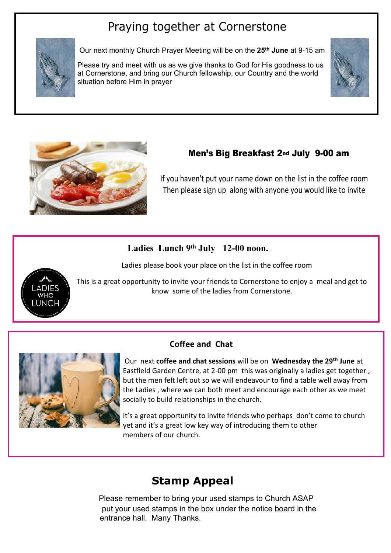# Praying together at Cornerstone



Our next monthly Church Prayer Meeting will be on the **25th June** at 9-15 am

Please try and meet with us as we give thanks to God for His goodness to us at Cornerstone, and bring our Church fellowship, our Country and the world situation before Him in prayer





## **Men's Big Breakfast 2nd July 9-00 am**

If you haven't put your name down on the list in the coffee room Then please sign up along with anyone you would like to invite

## **Ladies Lunch 9th July 12-00 noon.**

Ladies please book your place on the list in the coffee room



This is a great opportunity to invite your friends to Cornerstone to enjoy a meal and get to know some of the ladies from Cornerstone.

## **Coffee and Chat**



 Our next **coffee and chat sessions** will be on **Wednesday the 29th June** at Eastfield Garden Centre, at 2-00 pm this was originally a ladies get together , but the men felt left out so we will endeavour to find a table well away from the Ladies , where we can both meet and encourage each other as we meet socially to build relationships in the church.

It's a great opportunity to invite friends who perhaps don't come to church yet and it's a great low key way of introducing them to other members of our church.

# **Stamp Appeal**

 put your used stamps in the box under the notice board in the entrance hall. Many Thanks. Please remember to bring your used stamps to Church ASAP